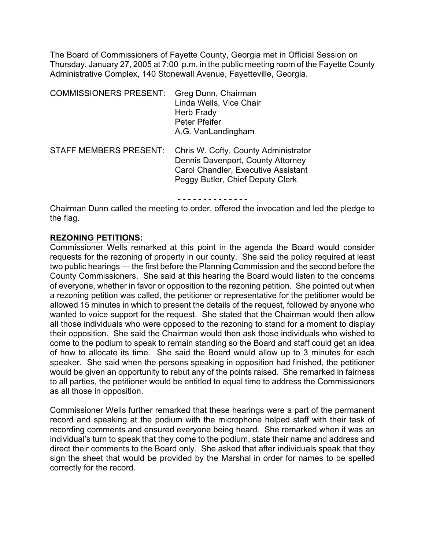The Board of Commissioners of Fayette County, Georgia met in Official Session on Thursday, January 27, 2005 at 7:00 p.m. in the public meeting room of the Fayette County Administrative Complex, 140 Stonewall Avenue, Fayetteville, Georgia.

| <b>COMMISSIONERS PRESENT:</b> | Greg Dunn, Chairman<br>Linda Wells, Vice Chair<br>Herb Frady<br>Peter Pfeifer<br>A.G. VanLandingham                                                         |
|-------------------------------|-------------------------------------------------------------------------------------------------------------------------------------------------------------|
| <b>STAFF MEMBERS PRESENT:</b> | Chris W. Cofty, County Administrator<br>Dennis Davenport, County Attorney<br><b>Carol Chandler, Executive Assistant</b><br>Peggy Butler, Chief Deputy Clerk |

**- - - - - - - - - - - - - -**

Chairman Dunn called the meeting to order, offered the invocation and led the pledge to the flag.

#### **REZONING PETITIONS:**

Commissioner Wells remarked at this point in the agenda the Board would consider requests for the rezoning of property in our county. She said the policy required at least two public hearings — the first before the Planning Commission and the second before the County Commissioners. She said at this hearing the Board would listen to the concerns of everyone, whether in favor or opposition to the rezoning petition. She pointed out when a rezoning petition was called, the petitioner or representative for the petitioner would be allowed 15 minutes in which to present the details of the request, followed by anyone who wanted to voice support for the request. She stated that the Chairman would then allow all those individuals who were opposed to the rezoning to stand for a moment to display their opposition. She said the Chairman would then ask those individuals who wished to come to the podium to speak to remain standing so the Board and staff could get an idea of how to allocate its time. She said the Board would allow up to 3 minutes for each speaker. She said when the persons speaking in opposition had finished, the petitioner would be given an opportunity to rebut any of the points raised. She remarked in fairness to all parties, the petitioner would be entitled to equal time to address the Commissioners as all those in opposition.

Commissioner Wells further remarked that these hearings were a part of the permanent record and speaking at the podium with the microphone helped staff with their task of recording comments and ensured everyone being heard. She remarked when it was an individual's turn to speak that they come to the podium, state their name and address and direct their comments to the Board only. She asked that after individuals speak that they sign the sheet that would be provided by the Marshal in order for names to be spelled correctly for the record.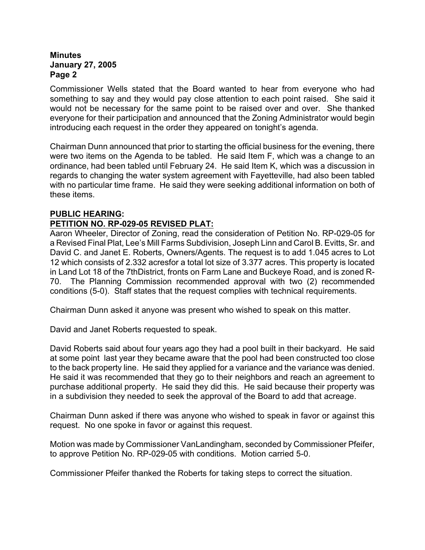Commissioner Wells stated that the Board wanted to hear from everyone who had something to say and they would pay close attention to each point raised. She said it would not be necessary for the same point to be raised over and over. She thanked everyone for their participation and announced that the Zoning Administrator would begin introducing each request in the order they appeared on tonight's agenda.

Chairman Dunn announced that prior to starting the official business for the evening, there were two items on the Agenda to be tabled. He said Item F, which was a change to an ordinance, had been tabled until February 24. He said Item K, which was a discussion in regards to changing the water system agreement with Fayetteville, had also been tabled with no particular time frame. He said they were seeking additional information on both of these items.

## **PUBLIC HEARING:**

# **PETITION NO. RP-029-05 REVISED PLAT:**

Aaron Wheeler, Director of Zoning, read the consideration of Petition No. RP-029-05 for a Revised Final Plat, Lee's Mill Farms Subdivision, Joseph Linn and Carol B. Evitts, Sr. and David C. and Janet E. Roberts, Owners/Agents. The request is to add 1.045 acres to Lot 12 which consists of 2.332 acresfor a total lot size of 3.377 acres. This property is located in Land Lot 18 of the 7thDistrict, fronts on Farm Lane and Buckeye Road, and is zoned R-70. The Planning Commission recommended approval with two (2) recommended conditions (5-0). Staff states that the request complies with technical requirements.

Chairman Dunn asked it anyone was present who wished to speak on this matter.

David and Janet Roberts requested to speak.

David Roberts said about four years ago they had a pool built in their backyard. He said at some point last year they became aware that the pool had been constructed too close to the back property line. He said they applied for a variance and the variance was denied. He said it was recommended that they go to their neighbors and reach an agreement to purchase additional property. He said they did this. He said because their property was in a subdivision they needed to seek the approval of the Board to add that acreage.

Chairman Dunn asked if there was anyone who wished to speak in favor or against this request. No one spoke in favor or against this request.

Motion was made by Commissioner VanLandingham, seconded by Commissioner Pfeifer, to approve Petition No. RP-029-05 with conditions. Motion carried 5-0.

Commissioner Pfeifer thanked the Roberts for taking steps to correct the situation.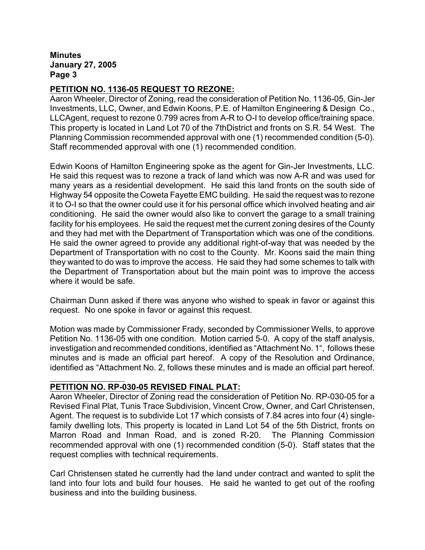# **PETITION NO. 1136-05 REQUEST TO REZONE:**

Aaron Wheeler, Director of Zoning, read the consideration of Petition No. 1136-05, Gin-Jer Investments, LLC, Owner, and Edwin Koons, P.E. of Hamilton Engineering & Design Co., LLCAgent, request to rezone 0.799 acres from A-R to O-I to develop office/training space. This property is located in Land Lot 70 of the 7thDistrict and fronts on S.R. 54 West.The Planning Commission recommended approval with one (1) recommended condition (5-0). Staff recommended approval with one (1) recommended condition.

Edwin Koons of Hamilton Engineering spoke as the agent for Gin-Jer Investments, LLC. He said this request was to rezone a track of land which was now A-R and was used for many years as a residential development. He said this land fronts on the south side of Highway 54 opposite the Coweta Fayette EMC building. He said the request was to rezone it to O-I so that the owner could use it for his personal office which involved heating and air conditioning. He said the owner would also like to convert the garage to a small training facility for his employees. He said the request met the current zoning desires of the County and they had met with the Department of Transportation which was one of the conditions. He said the owner agreed to provide any additional right-of-way that was needed by the Department of Transportation with no cost to the County. Mr. Koons said the main thing they wanted to do was to improve the access. He said they had some schemes to talk with the Department of Transportation about but the main point was to improve the access where it would be safe.

Chairman Dunn asked if there was anyone who wished to speak in favor or against this request. No one spoke in favor or against this request.

Motion was made by Commissioner Frady, seconded by Commissioner Wells, to approve Petition No. 1136-05 with one condition. Motion carried 5-0. A copy of the staff analysis, investigation and recommended conditions, identified as "Attachment No. 1", follows these minutes and is made an official part hereof. A copy of the Resolution and Ordinance, identified as "Attachment No. 2, follows these minutes and is made an official part hereof.

## **PETITION NO. RP-030-05 REVISED FINAL PLAT:**

Aaron Wheeler, Director of Zoning read the consideration of Petition No. RP-030-05 for a Revised Final Plat, Tunis Trace Subdivision, Vincent Crow, Owner, and Carl Christensen, Agent. The request is to subdivide Lot 17 which consists of 7.84 acres into four (4) singlefamily dwelling lots. This property is located in Land Lot 54 of the 5th District, fronts on Marron Road and Inman Road, and is zoned R-20.The Planning Commission recommended approval with one (1) recommended condition (5-0). Staff states that the request complies with technical requirements.

Carl Christensen stated he currently had the land under contract and wanted to split the land into four lots and build four houses. He said he wanted to get out of the roofing business and into the building business.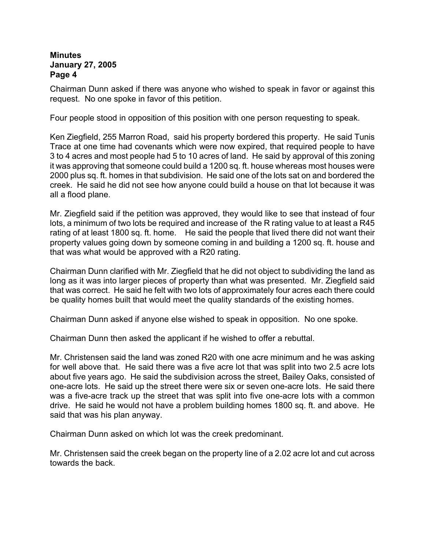Chairman Dunn asked if there was anyone who wished to speak in favor or against this request. No one spoke in favor of this petition.

Four people stood in opposition of this position with one person requesting to speak.

Ken Ziegfield, 255 Marron Road, said his property bordered this property. He said Tunis Trace at one time had covenants which were now expired, that required people to have 3 to 4 acres and most people had 5 to 10 acres of land. He said by approval of this zoning it was approving that someone could build a 1200 sq. ft. house whereas most houses were 2000 plus sq. ft. homes in that subdivision. He said one of the lots sat on and bordered the creek. He said he did not see how anyone could build a house on that lot because it was all a flood plane.

Mr. Ziegfield said if the petition was approved, they would like to see that instead of four lots, a minimum of two lots be required and increase of the R rating value to at least a R45 rating of at least 1800 sq. ft. home. He said the people that lived there did not want their property values going down by someone coming in and building a 1200 sq. ft. house and that was what would be approved with a R20 rating.

Chairman Dunn clarified with Mr. Ziegfield that he did not object to subdividing the land as long as it was into larger pieces of property than what was presented. Mr. Ziegfield said that was correct. He said he felt with two lots of approximately four acres each there could be quality homes built that would meet the quality standards of the existing homes.

Chairman Dunn asked if anyone else wished to speak in opposition. No one spoke.

Chairman Dunn then asked the applicant if he wished to offer a rebuttal.

Mr. Christensen said the land was zoned R20 with one acre minimum and he was asking for well above that. He said there was a five acre lot that was split into two 2.5 acre lots about five years ago. He said the subdivision across the street, Bailey Oaks, consisted of one-acre lots. He said up the street there were six or seven one-acre lots. He said there was a five-acre track up the street that was split into five one-acre lots with a common drive. He said he would not have a problem building homes 1800 sq. ft. and above. He said that was his plan anyway.

Chairman Dunn asked on which lot was the creek predominant.

Mr. Christensen said the creek began on the property line of a 2.02 acre lot and cut across towards the back.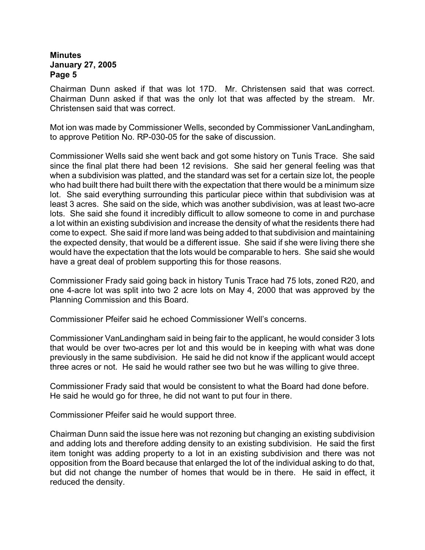Chairman Dunn asked if that was lot 17D. Mr. Christensen said that was correct. Chairman Dunn asked if that was the only lot that was affected by the stream. Mr. Christensen said that was correct.

Mot ion was made by Commissioner Wells, seconded by Commissioner VanLandingham, to approve Petition No. RP-030-05 for the sake of discussion.

Commissioner Wells said she went back and got some history on Tunis Trace. She said since the final plat there had been 12 revisions. She said her general feeling was that when a subdivision was platted, and the standard was set for a certain size lot, the people who had built there had built there with the expectation that there would be a minimum size lot. She said everything surrounding this particular piece within that subdivision was at least 3 acres. She said on the side, which was another subdivision, was at least two-acre lots. She said she found it incredibly difficult to allow someone to come in and purchase a lot within an existing subdivision and increase the density of what the residents there had come to expect. She said if more land was being added to that subdivision and maintaining the expected density, that would be a different issue. She said if she were living there she would have the expectation that the lots would be comparable to hers. She said she would have a great deal of problem supporting this for those reasons.

Commissioner Frady said going back in history Tunis Trace had 75 lots, zoned R20, and one 4-acre lot was split into two 2 acre lots on May 4, 2000 that was approved by the Planning Commission and this Board.

Commissioner Pfeifer said he echoed Commissioner Well's concerns.

Commissioner VanLandingham said in being fair to the applicant, he would consider 3 lots that would be over two-acres per lot and this would be in keeping with what was done previously in the same subdivision. He said he did not know if the applicant would accept three acres or not. He said he would rather see two but he was willing to give three.

Commissioner Frady said that would be consistent to what the Board had done before. He said he would go for three, he did not want to put four in there.

Commissioner Pfeifer said he would support three.

Chairman Dunn said the issue here was not rezoning but changing an existing subdivision and adding lots and therefore adding density to an existing subdivision. He said the first item tonight was adding property to a lot in an existing subdivision and there was not opposition from the Board because that enlarged the lot of the individual asking to do that, but did not change the number of homes that would be in there. He said in effect, it reduced the density.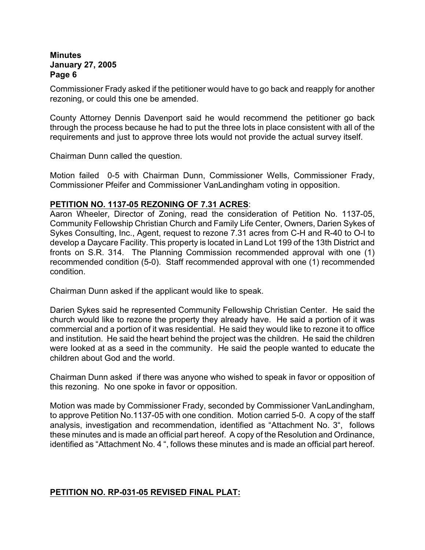Commissioner Frady asked if the petitioner would have to go back and reapply for another rezoning, or could this one be amended.

County Attorney Dennis Davenport said he would recommend the petitioner go back through the process because he had to put the three lots in place consistent with all of the requirements and just to approve three lots would not provide the actual survey itself.

Chairman Dunn called the question.

Motion failed 0-5 with Chairman Dunn, Commissioner Wells, Commissioner Frady, Commissioner Pfeifer and Commissioner VanLandingham voting in opposition.

## **PETITION NO. 1137-05 REZONING OF 7.31 ACRES**:

Aaron Wheeler, Director of Zoning, read the consideration of Petition No. 1137-05, Community Fellowship Christian Church and Family Life Center, Owners, Darien Sykes of Sykes Consulting, Inc., Agent, request to rezone 7.31 acres from C-H and R-40 to O-I to develop a Daycare Facility. This property is located in Land Lot 199 of the 13th District and fronts on S.R. 314. The Planning Commission recommended approval with one (1) recommended condition (5-0). Staff recommended approval with one (1) recommended condition.

Chairman Dunn asked if the applicant would like to speak.

Darien Sykes said he represented Community Fellowship Christian Center. He said the church would like to rezone the property they already have. He said a portion of it was commercial and a portion of it was residential. He said they would like to rezone it to office and institution. He said the heart behind the project was the children. He said the children were looked at as a seed in the community. He said the people wanted to educate the children about God and the world.

Chairman Dunn asked if there was anyone who wished to speak in favor or opposition of this rezoning. No one spoke in favor or opposition.

Motion was made by Commissioner Frady, seconded by Commissioner VanLandingham, to approve Petition No.1137-05 with one condition. Motion carried 5-0. A copy of the staff analysis, investigation and recommendation, identified as "Attachment No. 3", follows these minutes and is made an official part hereof. A copy of the Resolution and Ordinance, identified as "Attachment No. 4 ", follows these minutes and is made an official part hereof.

## **PETITION NO. RP-031-05 REVISED FINAL PLAT:**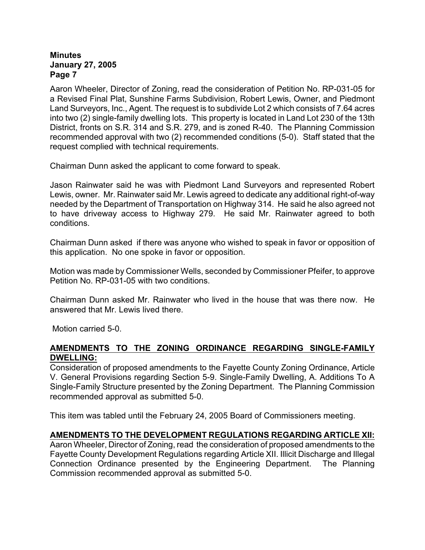Aaron Wheeler, Director of Zoning, read the consideration of Petition No. RP-031-05 for a Revised Final Plat, Sunshine Farms Subdivision, Robert Lewis, Owner, and Piedmont Land Surveyors, Inc., Agent. The request is to subdivide Lot 2 which consists of 7.64 acres into two (2) single-family dwelling lots. This property is located in Land Lot 230 of the 13th District, fronts on S.R. 314 and S.R. 279, and is zoned R-40. The Planning Commission recommended approval with two (2) recommended conditions (5-0). Staff stated that the request complied with technical requirements.

Chairman Dunn asked the applicant to come forward to speak.

Jason Rainwater said he was with Piedmont Land Surveyors and represented Robert Lewis, owner. Mr. Rainwater said Mr. Lewis agreed to dedicate any additional right-of-way needed by the Department of Transportation on Highway 314. He said he also agreed not to have driveway access to Highway 279. He said Mr. Rainwater agreed to both conditions.

Chairman Dunn asked if there was anyone who wished to speak in favor or opposition of this application. No one spoke in favor or opposition.

Motion was made by Commissioner Wells, seconded by Commissioner Pfeifer, to approve Petition No. RP-031-05 with two conditions.

Chairman Dunn asked Mr. Rainwater who lived in the house that was there now. He answered that Mr. Lewis lived there.

Motion carried 5-0.

## **AMENDMENTS TO THE ZONING ORDINANCE REGARDING SINGLE-FAMILY DWELLING:**

Consideration of proposed amendments to the Fayette County Zoning Ordinance, Article V. General Provisions regarding Section 5-9. Single-Family Dwelling, A. Additions To A Single-Family Structure presented by the Zoning Department.The Planning Commission recommended approval as submitted 5-0.

This item was tabled until the February 24, 2005 Board of Commissioners meeting.

## **AMENDMENTS TO THE DEVELOPMENT REGULATIONS REGARDING ARTICLE XII:**

Aaron Wheeler, Director of Zoning, read the consideration of proposed amendments to the Fayette County Development Regulations regarding Article XII. Illicit Discharge and Illegal Connection Ordinance presented by the Engineering Department. The Planning Commission recommended approval as submitted 5-0.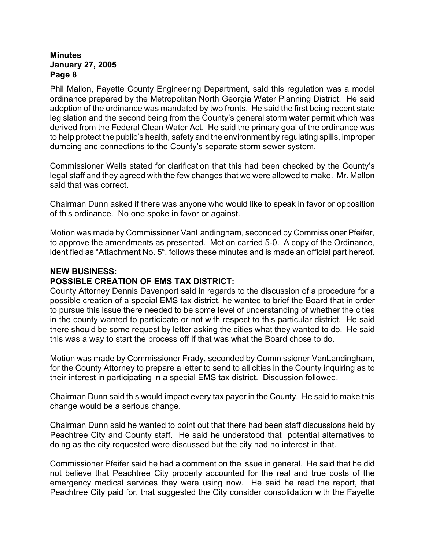Phil Mallon, Fayette County Engineering Department, said this regulation was a model ordinance prepared by the Metropolitan North Georgia Water Planning District. He said adoption of the ordinance was mandated by two fronts. He said the first being recent state legislation and the second being from the County's general storm water permit which was derived from the Federal Clean Water Act. He said the primary goal of the ordinance was to help protect the public's health, safety and the environment by regulating spills, improper dumping and connections to the County's separate storm sewer system.

Commissioner Wells stated for clarification that this had been checked by the County's legal staff and they agreed with the few changes that we were allowed to make. Mr. Mallon said that was correct.

Chairman Dunn asked if there was anyone who would like to speak in favor or opposition of this ordinance. No one spoke in favor or against.

Motion was made by Commissioner VanLandingham, seconded by Commissioner Pfeifer, to approve the amendments as presented. Motion carried 5-0. A copy of the Ordinance, identified as "Attachment No. 5", follows these minutes and is made an official part hereof.

## **NEW BUSINESS:**

## **POSSIBLE CREATION OF EMS TAX DISTRICT:**

County Attorney Dennis Davenport said in regards to the discussion of a procedure for a possible creation of a special EMS tax district, he wanted to brief the Board that in order to pursue this issue there needed to be some level of understanding of whether the cities in the county wanted to participate or not with respect to this particular district. He said there should be some request by letter asking the cities what they wanted to do. He said this was a way to start the process off if that was what the Board chose to do.

Motion was made by Commissioner Frady, seconded by Commissioner VanLandingham, for the County Attorney to prepare a letter to send to all cities in the County inquiring as to their interest in participating in a special EMS tax district. Discussion followed.

Chairman Dunn said this would impact every tax payer in the County. He said to make this change would be a serious change.

Chairman Dunn said he wanted to point out that there had been staff discussions held by Peachtree City and County staff. He said he understood that potential alternatives to doing as the city requested were discussed but the city had no interest in that.

Commissioner Pfeifer said he had a comment on the issue in general. He said that he did not believe that Peachtree City properly accounted for the real and true costs of the emergency medical services they were using now. He said he read the report, that Peachtree City paid for, that suggested the City consider consolidation with the Fayette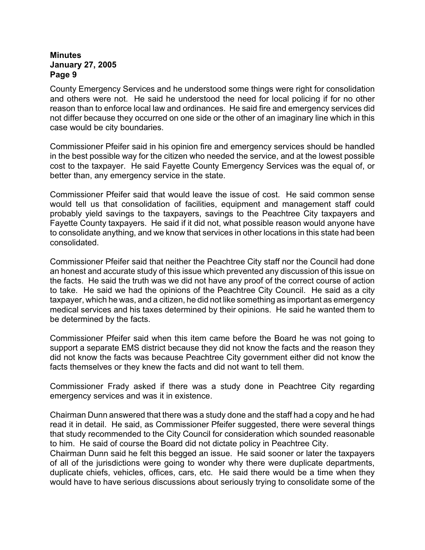County Emergency Services and he understood some things were right for consolidation and others were not. He said he understood the need for local policing if for no other reason than to enforce local law and ordinances. He said fire and emergency services did not differ because they occurred on one side or the other of an imaginary line which in this case would be city boundaries.

Commissioner Pfeifer said in his opinion fire and emergency services should be handled in the best possible way for the citizen who needed the service, and at the lowest possible cost to the taxpayer. He said Fayette County Emergency Services was the equal of, or better than, any emergency service in the state.

Commissioner Pfeifer said that would leave the issue of cost. He said common sense would tell us that consolidation of facilities, equipment and management staff could probably yield savings to the taxpayers, savings to the Peachtree City taxpayers and Fayette County taxpayers. He said if it did not, what possible reason would anyone have to consolidate anything, and we know that services in other locations in this state had been consolidated.

Commissioner Pfeifer said that neither the Peachtree City staff nor the Council had done an honest and accurate study of this issue which prevented any discussion of this issue on the facts. He said the truth was we did not have any proof of the correct course of action to take. He said we had the opinions of the Peachtree City Council. He said as a city taxpayer, which he was, and a citizen, he did not like something as important as emergency medical services and his taxes determined by their opinions. He said he wanted them to be determined by the facts.

Commissioner Pfeifer said when this item came before the Board he was not going to support a separate EMS district because they did not know the facts and the reason they did not know the facts was because Peachtree City government either did not know the facts themselves or they knew the facts and did not want to tell them.

Commissioner Frady asked if there was a study done in Peachtree City regarding emergency services and was it in existence.

Chairman Dunn answered that there was a study done and the staff had a copy and he had read it in detail. He said, as Commissioner Pfeifer suggested, there were several things that study recommended to the City Council for consideration which sounded reasonable to him. He said of course the Board did not dictate policy in Peachtree City.

Chairman Dunn said he felt this begged an issue. He said sooner or later the taxpayers of all of the jurisdictions were going to wonder why there were duplicate departments, duplicate chiefs, vehicles, offices, cars, etc. He said there would be a time when they would have to have serious discussions about seriously trying to consolidate some of the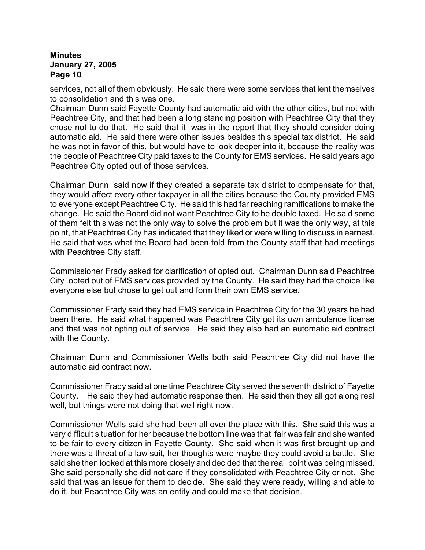services, not all of them obviously. He said there were some services that lent themselves to consolidation and this was one.

Chairman Dunn said Fayette County had automatic aid with the other cities, but not with Peachtree City, and that had been a long standing position with Peachtree City that they chose not to do that. He said that it was in the report that they should consider doing automatic aid. He said there were other issues besides this special tax district. He said he was not in favor of this, but would have to look deeper into it, because the reality was the people of Peachtree City paid taxes to the County for EMS services. He said years ago Peachtree City opted out of those services.

Chairman Dunn said now if they created a separate tax district to compensate for that, they would affect every other taxpayer in all the cities because the County provided EMS to everyone except Peachtree City. He said this had far reaching ramifications to make the change. He said the Board did not want Peachtree City to be double taxed. He said some of them felt this was not the only way to solve the problem but it was the only way, at this point, that Peachtree City has indicated that they liked or were willing to discuss in earnest. He said that was what the Board had been told from the County staff that had meetings with Peachtree City staff.

Commissioner Frady asked for clarification of opted out. Chairman Dunn said Peachtree City opted out of EMS services provided by the County. He said they had the choice like everyone else but chose to get out and form their own EMS service.

Commissioner Frady said they had EMS service in Peachtree City for the 30 years he had been there. He said what happened was Peachtree City got its own ambulance license and that was not opting out of service. He said they also had an automatic aid contract with the County.

Chairman Dunn and Commissioner Wells both said Peachtree City did not have the automatic aid contract now.

Commissioner Frady said at one time Peachtree City served the seventh district of Fayette County. He said they had automatic response then. He said then they all got along real well, but things were not doing that well right now.

Commissioner Wells said she had been all over the place with this. She said this was a very difficult situation for her because the bottom line was that fair was fair and she wanted to be fair to every citizen in Fayette County. She said when it was first brought up and there was a threat of a law suit, her thoughts were maybe they could avoid a battle. She said she then looked at this more closely and decided that the real point was being missed. She said personally she did not care if they consolidated with Peachtree City or not. She said that was an issue for them to decide. She said they were ready, willing and able to do it, but Peachtree City was an entity and could make that decision.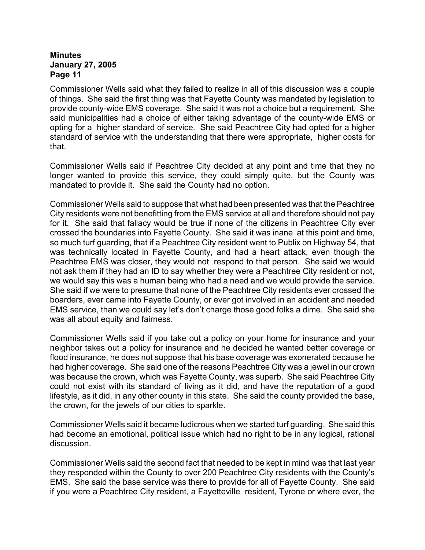Commissioner Wells said what they failed to realize in all of this discussion was a couple of things. She said the first thing was that Fayette County was mandated by legislation to provide county-wide EMS coverage. She said it was not a choice but a requirement. She said municipalities had a choice of either taking advantage of the county-wide EMS or opting for a higher standard of service. She said Peachtree City had opted for a higher standard of service with the understanding that there were appropriate, higher costs for that.

Commissioner Wells said if Peachtree City decided at any point and time that they no longer wanted to provide this service, they could simply quite, but the County was mandated to provide it. She said the County had no option.

Commissioner Wells said to suppose that what had been presented was that the Peachtree City residents were not benefitting from the EMS service at all and therefore should not pay for it. She said that fallacy would be true if none of the citizens in Peachtree City ever crossed the boundaries into Fayette County. She said it was inane at this point and time, so much turf guarding, that if a Peachtree City resident went to Publix on Highway 54, that was technically located in Fayette County, and had a heart attack, even though the Peachtree EMS was closer, they would not respond to that person. She said we would not ask them if they had an ID to say whether they were a Peachtree City resident or not, we would say this was a human being who had a need and we would provide the service. She said if we were to presume that none of the Peachtree City residents ever crossed the boarders, ever came into Fayette County, or ever got involved in an accident and needed EMS service, than we could say let's don't charge those good folks a dime. She said she was all about equity and fairness.

Commissioner Wells said if you take out a policy on your home for insurance and your neighbor takes out a policy for insurance and he decided he wanted better coverage or flood insurance, he does not suppose that his base coverage was exonerated because he had higher coverage. She said one of the reasons Peachtree City was a jewel in our crown was because the crown, which was Fayette County, was superb. She said Peachtree City could not exist with its standard of living as it did, and have the reputation of a good lifestyle, as it did, in any other county in this state. She said the county provided the base, the crown, for the jewels of our cities to sparkle.

Commissioner Wells said it became ludicrous when we started turf guarding. She said this had become an emotional, political issue which had no right to be in any logical, rational discussion.

Commissioner Wells said the second fact that needed to be kept in mind was that last year they responded within the County to over 200 Peachtree City residents with the County's EMS. She said the base service was there to provide for all of Fayette County. She said if you were a Peachtree City resident, a Fayetteville resident, Tyrone or where ever, the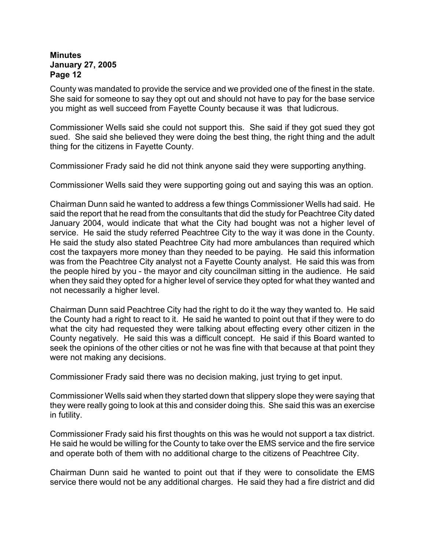County was mandated to provide the service and we provided one of the finest in the state. She said for someone to say they opt out and should not have to pay for the base service you might as well succeed from Fayette County because it was that ludicrous.

Commissioner Wells said she could not support this. She said if they got sued they got sued. She said she believed they were doing the best thing, the right thing and the adult thing for the citizens in Fayette County.

Commissioner Frady said he did not think anyone said they were supporting anything.

Commissioner Wells said they were supporting going out and saying this was an option.

Chairman Dunn said he wanted to address a few things Commissioner Wells had said. He said the report that he read from the consultants that did the study for Peachtree City dated January 2004, would indicate that what the City had bought was not a higher level of service. He said the study referred Peachtree City to the way it was done in the County. He said the study also stated Peachtree City had more ambulances than required which cost the taxpayers more money than they needed to be paying. He said this information was from the Peachtree City analyst not a Fayette County analyst. He said this was from the people hired by you - the mayor and city councilman sitting in the audience. He said when they said they opted for a higher level of service they opted for what they wanted and not necessarily a higher level.

Chairman Dunn said Peachtree City had the right to do it the way they wanted to. He said the County had a right to react to it. He said he wanted to point out that if they were to do what the city had requested they were talking about effecting every other citizen in the County negatively. He said this was a difficult concept. He said if this Board wanted to seek the opinions of the other cities or not he was fine with that because at that point they were not making any decisions.

Commissioner Frady said there was no decision making, just trying to get input.

Commissioner Wells said when they started down that slippery slope they were saying that they were really going to look at this and consider doing this. She said this was an exercise in futility.

Commissioner Frady said his first thoughts on this was he would not support a tax district. He said he would be willing for the County to take over the EMS service and the fire service and operate both of them with no additional charge to the citizens of Peachtree City.

Chairman Dunn said he wanted to point out that if they were to consolidate the EMS service there would not be any additional charges. He said they had a fire district and did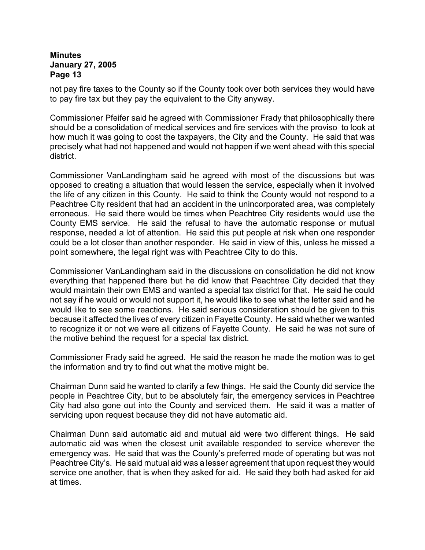not pay fire taxes to the County so if the County took over both services they would have to pay fire tax but they pay the equivalent to the City anyway.

Commissioner Pfeifer said he agreed with Commissioner Frady that philosophically there should be a consolidation of medical services and fire services with the proviso to look at how much it was going to cost the taxpayers, the City and the County. He said that was precisely what had not happened and would not happen if we went ahead with this special district.

Commissioner VanLandingham said he agreed with most of the discussions but was opposed to creating a situation that would lessen the service, especially when it involved the life of any citizen in this County. He said to think the County would not respond to a Peachtree City resident that had an accident in the unincorporated area, was completely erroneous. He said there would be times when Peachtree City residents would use the County EMS service. He said the refusal to have the automatic response or mutual response, needed a lot of attention. He said this put people at risk when one responder could be a lot closer than another responder. He said in view of this, unless he missed a point somewhere, the legal right was with Peachtree City to do this.

Commissioner VanLandingham said in the discussions on consolidation he did not know everything that happened there but he did know that Peachtree City decided that they would maintain their own EMS and wanted a special tax district for that. He said he could not say if he would or would not support it, he would like to see what the letter said and he would like to see some reactions. He said serious consideration should be given to this because it affected the lives of every citizen in Fayette County. He said whether we wanted to recognize it or not we were all citizens of Fayette County. He said he was not sure of the motive behind the request for a special tax district.

Commissioner Frady said he agreed. He said the reason he made the motion was to get the information and try to find out what the motive might be.

Chairman Dunn said he wanted to clarify a few things. He said the County did service the people in Peachtree City, but to be absolutely fair, the emergency services in Peachtree City had also gone out into the County and serviced them. He said it was a matter of servicing upon request because they did not have automatic aid.

Chairman Dunn said automatic aid and mutual aid were two different things. He said automatic aid was when the closest unit available responded to service wherever the emergency was. He said that was the County's preferred mode of operating but was not Peachtree City's. He said mutual aid was a lesser agreement that upon request they would service one another, that is when they asked for aid. He said they both had asked for aid at times.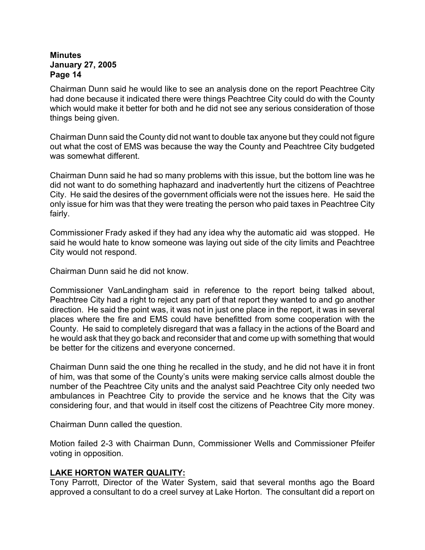Chairman Dunn said he would like to see an analysis done on the report Peachtree City had done because it indicated there were things Peachtree City could do with the County which would make it better for both and he did not see any serious consideration of those things being given.

Chairman Dunn said the County did not want to double tax anyone but they could not figure out what the cost of EMS was because the way the County and Peachtree City budgeted was somewhat different.

Chairman Dunn said he had so many problems with this issue, but the bottom line was he did not want to do something haphazard and inadvertently hurt the citizens of Peachtree City. He said the desires of the government officials were not the issues here. He said the only issue for him was that they were treating the person who paid taxes in Peachtree City fairly.

Commissioner Frady asked if they had any idea why the automatic aid was stopped. He said he would hate to know someone was laying out side of the city limits and Peachtree City would not respond.

Chairman Dunn said he did not know.

Commissioner VanLandingham said in reference to the report being talked about, Peachtree City had a right to reject any part of that report they wanted to and go another direction. He said the point was, it was not in just one place in the report, it was in several places where the fire and EMS could have benefitted from some cooperation with the County. He said to completely disregard that was a fallacy in the actions of the Board and he would ask that they go back and reconsider that and come up with something that would be better for the citizens and everyone concerned.

Chairman Dunn said the one thing he recalled in the study, and he did not have it in front of him, was that some of the County's units were making service calls almost double the number of the Peachtree City units and the analyst said Peachtree City only needed two ambulances in Peachtree City to provide the service and he knows that the City was considering four, and that would in itself cost the citizens of Peachtree City more money.

Chairman Dunn called the question.

Motion failed 2-3 with Chairman Dunn, Commissioner Wells and Commissioner Pfeifer voting in opposition.

## **LAKE HORTON WATER QUALITY:**

Tony Parrott, Director of the Water System, said that several months ago the Board approved a consultant to do a creel survey at Lake Horton. The consultant did a report on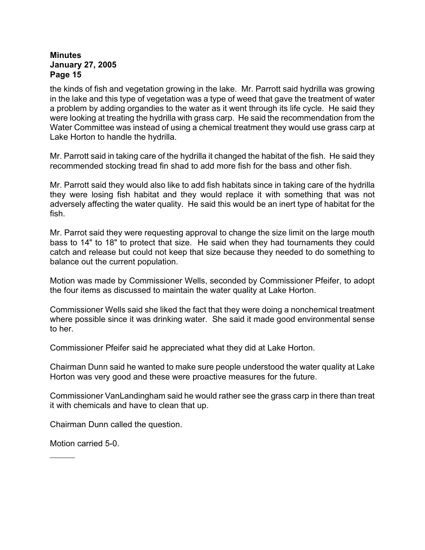the kinds of fish and vegetation growing in the lake. Mr. Parrott said hydrilla was growing in the lake and this type of vegetation was a type of weed that gave the treatment of water a problem by adding organdies to the water as it went through its life cycle. He said they were looking at treating the hydrilla with grass carp. He said the recommendation from the Water Committee was instead of using a chemical treatment they would use grass carp at Lake Horton to handle the hydrilla.

Mr. Parrott said in taking care of the hydrilla it changed the habitat of the fish. He said they recommended stocking tread fin shad to add more fish for the bass and other fish.

Mr. Parrott said they would also like to add fish habitats since in taking care of the hydrilla they were losing fish habitat and they would replace it with something that was not adversely affecting the water quality. He said this would be an inert type of habitat for the fish.

Mr. Parrot said they were requesting approval to change the size limit on the large mouth bass to 14" to 18" to protect that size. He said when they had tournaments they could catch and release but could not keep that size because they needed to do something to balance out the current population.

Motion was made by Commissioner Wells, seconded by Commissioner Pfeifer, to adopt the four items as discussed to maintain the water quality at Lake Horton.

Commissioner Wells said she liked the fact that they were doing a nonchemical treatment where possible since it was drinking water. She said it made good environmental sense to her.

Commissioner Pfeifer said he appreciated what they did at Lake Horton.

Chairman Dunn said he wanted to make sure people understood the water quality at Lake Horton was very good and these were proactive measures for the future.

Commissioner VanLandingham said he would rather see the grass carp in there than treat it with chemicals and have to clean that up.

Chairman Dunn called the question.

Motion carried 5-0.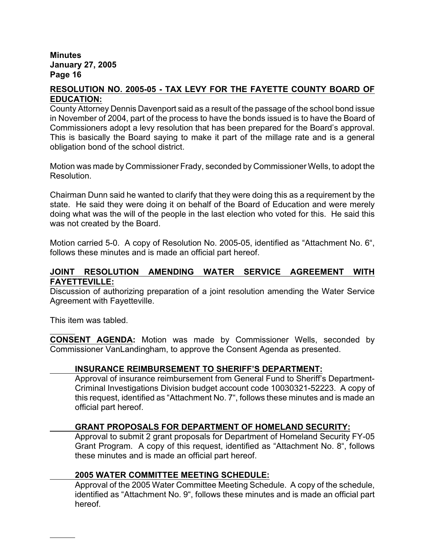# **RESOLUTION NO. 2005-05 - TAX LEVY FOR THE FAYETTE COUNTY BOARD OF EDUCATION:**

County Attorney Dennis Davenport said as a result of the passage of the school bond issue in November of 2004, part of the process to have the bonds issued is to have the Board of Commissioners adopt a levy resolution that has been prepared for the Board's approval. This is basically the Board saying to make it part of the millage rate and is a general obligation bond of the school district.

Motion was made by Commissioner Frady, seconded by Commissioner Wells, to adopt the Resolution.

Chairman Dunn said he wanted to clarify that they were doing this as a requirement by the state. He said they were doing it on behalf of the Board of Education and were merely doing what was the will of the people in the last election who voted for this. He said this was not created by the Board.

Motion carried 5-0. A copy of Resolution No. 2005-05, identified as "Attachment No. 6", follows these minutes and is made an official part hereof.

# **JOINT RESOLUTION AMENDING WATER SERVICE AGREEMENT WITH FAYETTEVILLE:**

Discussion of authorizing preparation of a joint resolution amending the Water Service Agreement with Fayetteville.

This item was tabled.

**CONSENT AGENDA:** Motion was made by Commissioner Wells, seconded by Commissioner VanLandingham, to approve the Consent Agenda as presented.

# **INSURANCE REIMBURSEMENT TO SHERIFF'S DEPARTMENT:**

Approval of insurance reimbursement from General Fund to Sheriff's Department-Criminal Investigations Division budget account code 10030321-52223. A copy of this request, identified as "Attachment No. 7", follows these minutes and is made an official part hereof.

# **GRANT PROPOSALS FOR DEPARTMENT OF HOMELAND SECURITY:**

Approval to submit 2 grant proposals for Department of Homeland Security FY-05 Grant Program. A copy of this request, identified as "Attachment No. 8", follows these minutes and is made an official part hereof.

# **2005 WATER COMMITTEE MEETING SCHEDULE:**

Approval of the 2005 Water Committee Meeting Schedule.A copy of the schedule, identified as "Attachment No. 9", follows these minutes and is made an official part hereof.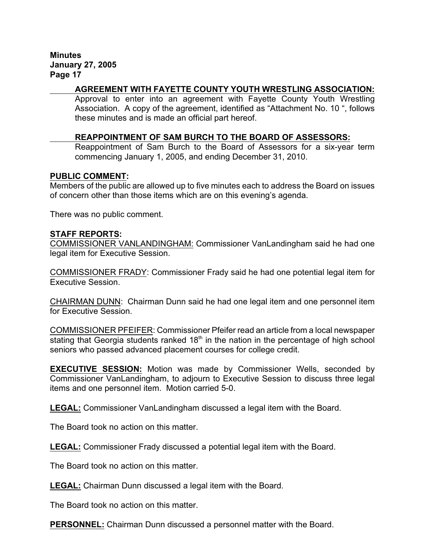# **AGREEMENT WITH FAYETTE COUNTY YOUTH WRESTLING ASSOCIATION:**

Approval to enter into an agreement with Fayette County Youth Wrestling Association. A copy of the agreement, identified as "Attachment No. 10 ", follows these minutes and is made an official part hereof.

#### **REAPPOINTMENT OF SAM BURCH TO THE BOARD OF ASSESSORS:**

Reappointment of Sam Burch to the Board of Assessors for a six-year term commencing January 1, 2005, and ending December 31, 2010.

#### **PUBLIC COMMENT:**

Members of the public are allowed up to five minutes each to address the Board on issues of concern other than those items which are on this evening's agenda.

There was no public comment.

#### **STAFF REPORTS:**

COMMISSIONER VANLANDINGHAM: Commissioner VanLandingham said he had one legal item for Executive Session.

COMMISSIONER FRADY: Commissioner Frady said he had one potential legal item for Executive Session.

CHAIRMAN DUNN:Chairman Dunn said he had one legal item and one personnel item for Executive Session.

COMMISSIONER PFEIFER: Commissioner Pfeifer read an article from a local newspaper stating that Georgia students ranked  $18<sup>th</sup>$  in the nation in the percentage of high school seniors who passed advanced placement courses for college credit.

**EXECUTIVE SESSION:** Motion was made by Commissioner Wells, seconded by Commissioner VanLandingham, to adjourn to Executive Session to discuss three legal items and one personnel item. Motion carried 5-0.

**LEGAL:** Commissioner VanLandingham discussed a legal item with the Board.

The Board took no action on this matter.

**LEGAL:** Commissioner Frady discussed a potential legal item with the Board.

The Board took no action on this matter.

**LEGAL:** Chairman Dunn discussed a legal item with the Board.

The Board took no action on this matter.

**PERSONNEL:** Chairman Dunn discussed a personnel matter with the Board.